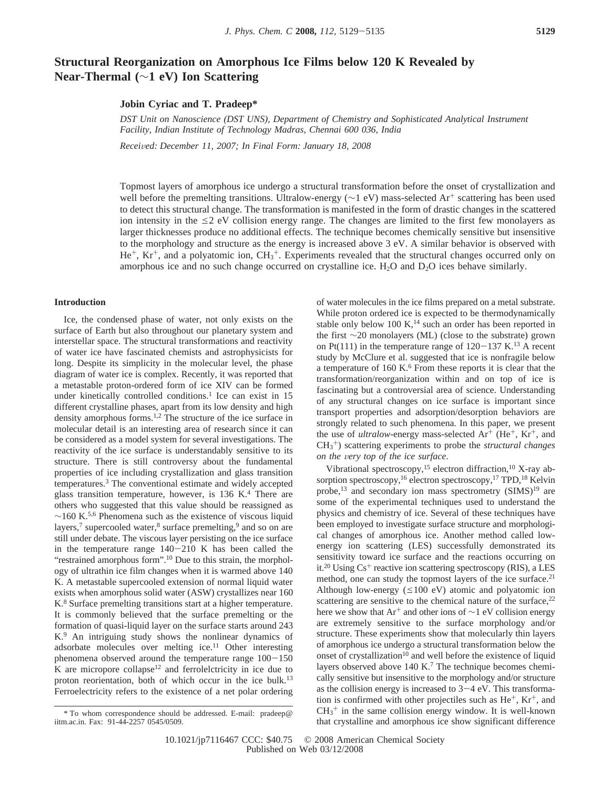# **Structural Reorganization on Amorphous Ice Films below 120 K Revealed by Near-Thermal (**∼**1 eV) Ion Scattering**

**Jobin Cyriac and T. Pradeep\***

*DST Unit on Nanoscience (DST UNS), Department of Chemistry and Sophisticated Analytical Instrument Facility, Indian Institute of Technology Madras, Chennai 600 036, India*

*Recei*V*ed: December 11, 2007; In Final Form: January 18, 2008*

Topmost layers of amorphous ice undergo a structural transformation before the onset of crystallization and well before the premelting transitions. Ultralow-energy (∼1 eV) mass-selected Ar<sup>+</sup> scattering has been used to detect this structural change. The transformation is manifested in the form of drastic changes in the scattered ion intensity in the  $\leq$  2 eV collision energy range. The changes are limited to the first few monolayers as larger thicknesses produce no additional effects. The technique becomes chemically sensitive but insensitive to the morphology and structure as the energy is increased above 3 eV. A similar behavior is observed with He+, Kr+, and a polyatomic ion, CH3 <sup>+</sup>. Experiments revealed that the structural changes occurred only on amorphous ice and no such change occurred on crystalline ice.  $H_2O$  and  $D_2O$  ices behave similarly.

## **Introduction**

Ice, the condensed phase of water, not only exists on the surface of Earth but also throughout our planetary system and interstellar space. The structural transformations and reactivity of water ice have fascinated chemists and astrophysicists for long. Despite its simplicity in the molecular level, the phase diagram of water ice is complex. Recently, it was reported that a metastable proton-ordered form of ice XIV can be formed under kinetically controlled conditions.<sup>1</sup> Ice can exist in 15 different crystalline phases, apart from its low density and high density amorphous forms.1,2 The structure of the ice surface in molecular detail is an interesting area of research since it can be considered as a model system for several investigations. The reactivity of the ice surface is understandably sensitive to its structure. There is still controversy about the fundamental properties of ice including crystallization and glass transition temperatures.3 The conventional estimate and widely accepted glass transition temperature, however, is  $136 \text{ K}$ <sup>4</sup> There are others who suggested that this value should be reassigned as  $∼160$  K.<sup>5,6</sup> Phenomena such as the existence of viscous liquid layers,<sup>7</sup> supercooled water, $8$  surface premelting, $9$  and so on are still under debate. The viscous layer persisting on the ice surface in the temperature range  $140-210$  K has been called the "restrained amorphous form".<sup>10</sup> Due to this strain, the morphology of ultrathin ice film changes when it is warmed above 140 K. A metastable supercooled extension of normal liquid water exists when amorphous solid water (ASW) crystallizes near 160 K.<sup>8</sup> Surface premelting transitions start at a higher temperature. It is commonly believed that the surface premelting or the formation of quasi-liquid layer on the surface starts around 243 K.9 An intriguing study shows the nonlinear dynamics of adsorbate molecules over melting ice.<sup>11</sup> Other interesting phenomena observed around the temperature range  $100-150$  $K$  are micropore collapse<sup>12</sup> and ferrolelctricity in ice due to proton reorientation, both of which occur in the ice bulk.<sup>13</sup> Ferroelectricity refers to the existence of a net polar ordering

of water molecules in the ice films prepared on a metal substrate. While proton ordered ice is expected to be thermodynamically stable only below 100 K, $^{14}$  such an order has been reported in the first ∼20 monolayers (ML) (close to the substrate) grown on Pt(111) in the temperature range of  $120-137$  K.<sup>13</sup> A recent study by McClure et al. suggested that ice is nonfragile below a temperature of 160 K.<sup>6</sup> From these reports it is clear that the transformation/reorganization within and on top of ice is fascinating but a controversial area of science. Understanding of any structural changes on ice surface is important since transport properties and adsorption/desorption behaviors are strongly related to such phenomena. In this paper, we present the use of *ultralow-energy* mass-selected  $Ar^+$  (He<sup>+</sup>, Kr<sup>+</sup>, and CH3 <sup>+</sup>) scattering experiments to probe the *structural changes on the very top of the ice surface.* 

Vibrational spectroscopy,<sup>15</sup> electron diffraction,<sup>10</sup> X-ray absorption spectroscopy,<sup>16</sup> electron spectroscopy,<sup>17</sup> TPD,<sup>18</sup> Kelvin probe,<sup>13</sup> and secondary ion mass spectrometry (SIMS)<sup>19</sup> are some of the experimental techniques used to understand the physics and chemistry of ice. Several of these techniques have been employed to investigate surface structure and morphological changes of amorphous ice. Another method called lowenergy ion scattering (LES) successfully demonstrated its sensitivity toward ice surface and the reactions occurring on it.<sup>20</sup> Using  $Cs<sup>+</sup>$  reactive ion scattering spectroscopy (RIS), a LES method, one can study the topmost layers of the ice surface.<sup>21</sup> Although low-energy  $(\leq 100 \text{ eV})$  atomic and polyatomic ion scattering are sensitive to the chemical nature of the surface, $22$ here we show that Ar<sup>+</sup> and other ions of  $\sim$ 1 eV collision energy are extremely sensitive to the surface morphology and/or structure. These experiments show that molecularly thin layers of amorphous ice undergo a structural transformation below the onset of crystallization<sup>10</sup> and well before the existence of liquid layers observed above 140 K.<sup>7</sup> The technique becomes chemically sensitive but insensitive to the morphology and/or structure as the collision energy is increased to  $3-4$  eV. This transformation is confirmed with other projectiles such as  $He^+$ ,  $Kr^+$ , and  $CH<sub>3</sub><sup>+</sup>$  in the same collision energy window. It is well-known that crystalline and amorphous ice show significant difference

<sup>\*</sup> To whom correspondence should be addressed. E-mail: pradeep@ iitm.ac.in. Fax: 91-44-2257 0545/0509.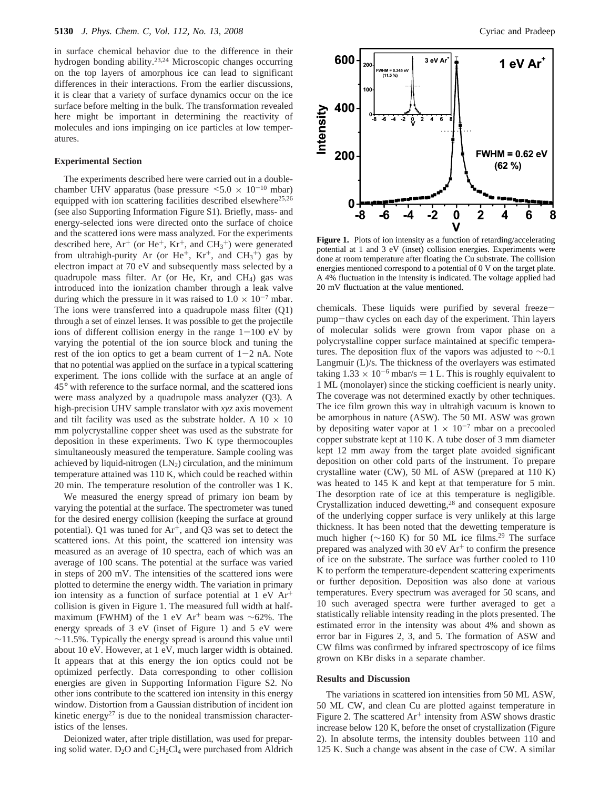in surface chemical behavior due to the difference in their hydrogen bonding ability.23,24 Microscopic changes occurring on the top layers of amorphous ice can lead to significant differences in their interactions. From the earlier discussions, it is clear that a variety of surface dynamics occur on the ice surface before melting in the bulk. The transformation revealed here might be important in determining the reactivity of molecules and ions impinging on ice particles at low temperatures.

#### **Experimental Section**

The experiments described here were carried out in a doublechamber UHV apparatus (base pressure  $\leq 5.0 \times 10^{-10}$  mbar) equipped with ion scattering facilities described elsewhere<sup>25,26</sup> (see also Supporting Information Figure S1). Briefly, mass- and energy-selected ions were directed onto the surface of choice and the scattered ions were mass analyzed. For the experiments described here,  $Ar^+$  (or  $He^+$ ,  $Kr^+$ , and  $CH_3^+$ ) were generated from ultrahigh-purity Ar (or  $He^+$ ,  $Kr^+$ , and  $CH_3^+$ ) gas by electron impact at 70 eV and subsequently mass selected by a quadrupole mass filter. Ar (or He, Kr, and  $CH<sub>4</sub>$ ) gas was introduced into the ionization chamber through a leak valve during which the pressure in it was raised to  $1.0 \times 10^{-7}$  mbar. The ions were transferred into a quadrupole mass filter (Q1) through a set of einzel lenses. It was possible to get the projectile ions of different collision energy in the range  $1-100$  eV by varying the potential of the ion source block and tuning the rest of the ion optics to get a beam current of  $1-2$  nA. Note that no potential was applied on the surface in a typical scattering experiment. The ions collide with the surface at an angle of 45° with reference to the surface normal, and the scattered ions were mass analyzed by a quadrupole mass analyzer (Q3). A high-precision UHV sample translator with *xyz* axis movement and tilt facility was used as the substrate holder. A  $10 \times 10$ mm polycrystalline copper sheet was used as the substrate for deposition in these experiments. Two K type thermocouples simultaneously measured the temperature. Sample cooling was achieved by liquid-nitrogen  $(LN_2)$  circulation, and the minimum temperature attained was 110 K, which could be reached within 20 min. The temperature resolution of the controller was 1 K.

We measured the energy spread of primary ion beam by varying the potential at the surface. The spectrometer was tuned for the desired energy collision (keeping the surface at ground potential). Q1 was tuned for  $Ar^+$ , and Q3 was set to detect the scattered ions. At this point, the scattered ion intensity was measured as an average of 10 spectra, each of which was an average of 100 scans. The potential at the surface was varied in steps of 200 mV. The intensities of the scattered ions were plotted to determine the energy width. The variation in primary ion intensity as a function of surface potential at  $1 \text{ eV}$  Ar<sup>+</sup> collision is given in Figure 1. The measured full width at halfmaximum (FWHM) of the 1 eV Ar<sup>+</sup> beam was ~62%. The energy spreads of 3 eV (inset of Figure 1) and 5 eV were ∼11.5%. Typically the energy spread is around this value until about 10 eV. However, at 1 eV, much larger width is obtained. It appears that at this energy the ion optics could not be optimized perfectly. Data corresponding to other collision energies are given in Supporting Information Figure S2. No other ions contribute to the scattered ion intensity in this energy window. Distortion from a Gaussian distribution of incident ion kinetic energy<sup>27</sup> is due to the nonideal transmission characteristics of the lenses.

Deionized water, after triple distillation, was used for preparing solid water.  $D_2O$  and  $C_2H_2Cl_4$  were purchased from Aldrich



Figure 1. Plots of ion intensity as a function of retarding/accelerating potential at 1 and 3 eV (inset) collision energies. Experiments were done at room temperature after floating the Cu substrate. The collision energies mentioned correspond to a potential of 0 V on the target plate. A 4% fluctuation in the intensity is indicated. The voltage applied had 20 mV fluctuation at the value mentioned.

chemicals. These liquids were purified by several freezepump-thaw cycles on each day of the experiment. Thin layers of molecular solids were grown from vapor phase on a polycrystalline copper surface maintained at specific temperatures. The deposition flux of the vapors was adjusted to  $\sim$ 0.1 Langmuir (L)/s. The thickness of the overlayers was estimated taking  $1.33 \times 10^{-6}$  mbar/s = 1 L. This is roughly equivalent to 1 ML (monolayer) since the sticking coefficient is nearly unity. The coverage was not determined exactly by other techniques. The ice film grown this way in ultrahigh vacuum is known to be amorphous in nature (ASW). The 50 ML ASW was grown by depositing water vapor at  $1 \times 10^{-7}$  mbar on a precooled copper substrate kept at 110 K. A tube doser of 3 mm diameter kept 12 mm away from the target plate avoided significant deposition on other cold parts of the instrument. To prepare crystalline water (CW), 50 ML of ASW (prepared at 110 K) was heated to 145 K and kept at that temperature for 5 min. The desorption rate of ice at this temperature is negligible. Crystallization induced dewetting,28 and consequent exposure of the underlying copper surface is very unlikely at this large thickness. It has been noted that the dewetting temperature is much higher ( $∼160$  K) for 50 ML ice films.<sup>29</sup> The surface prepared was analyzed with 30 eV  $Ar<sup>+</sup>$  to confirm the presence of ice on the substrate. The surface was further cooled to 110 K to perform the temperature-dependent scattering experiments or further deposition. Deposition was also done at various temperatures. Every spectrum was averaged for 50 scans, and 10 such averaged spectra were further averaged to get a statistically reliable intensity reading in the plots presented. The estimated error in the intensity was about 4% and shown as error bar in Figures 2, 3, and 5. The formation of ASW and CW films was confirmed by infrared spectroscopy of ice films grown on KBr disks in a separate chamber.

### **Results and Discussion**

The variations in scattered ion intensities from 50 ML ASW, 50 ML CW, and clean Cu are plotted against temperature in Figure 2. The scattered  $Ar^+$  intensity from ASW shows drastic increase below 120 K, before the onset of crystallization (Figure 2). In absolute terms, the intensity doubles between 110 and 125 K. Such a change was absent in the case of CW. A similar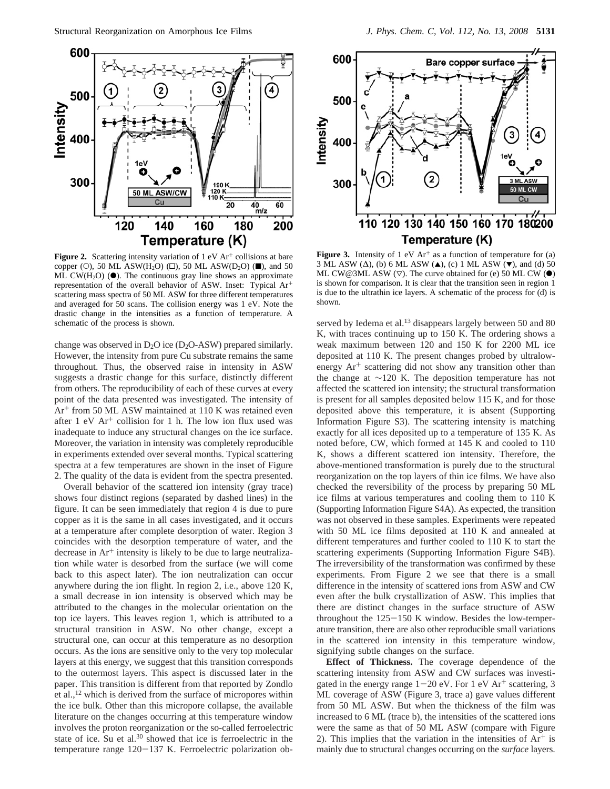

**Figure 2.** Scattering intensity variation of  $1 \text{ eV}$  Ar<sup>+</sup> collisions at bare copper (O), 50 ML ASW(H<sub>2</sub>O) ( $\square$ ), 50 ML ASW(D<sub>2</sub>O) ( $\square$ ), and 50 ML CW(H<sub>2</sub>O) ( $\bullet$ ). The continuous gray line shows an approximate representation of the overall behavior of ASW. Inset: Typical Ar+ scattering mass spectra of 50 ML ASW for three different temperatures and averaged for 50 scans. The collision energy was 1 eV. Note the drastic change in the intensities as a function of temperature. A schematic of the process is shown.

change was observed in  $D_2O$  ice ( $D_2O$ -ASW) prepared similarly. However, the intensity from pure Cu substrate remains the same throughout. Thus, the observed raise in intensity in ASW suggests a drastic change for this surface, distinctly different from others. The reproducibility of each of these curves at every point of the data presented was investigated. The intensity of Ar<sup>+</sup> from 50 ML ASW maintained at 110 K was retained even after 1 eV  $Ar<sup>+</sup>$  collision for 1 h. The low ion flux used was inadequate to induce any structural changes on the ice surface. Moreover, the variation in intensity was completely reproducible in experiments extended over several months. Typical scattering spectra at a few temperatures are shown in the inset of Figure 2. The quality of the data is evident from the spectra presented.

Overall behavior of the scattered ion intensity (gray trace) shows four distinct regions (separated by dashed lines) in the figure. It can be seen immediately that region 4 is due to pure copper as it is the same in all cases investigated, and it occurs at a temperature after complete desorption of water. Region 3 coincides with the desorption temperature of water, and the decrease in  $Ar^+$  intensity is likely to be due to large neutralization while water is desorbed from the surface (we will come back to this aspect later). The ion neutralization can occur anywhere during the ion flight. In region 2, i.e., above 120 K, a small decrease in ion intensity is observed which may be attributed to the changes in the molecular orientation on the top ice layers. This leaves region 1, which is attributed to a structural transition in ASW. No other change, except a structural one, can occur at this temperature as no desorption occurs. As the ions are sensitive only to the very top molecular layers at this energy, we suggest that this transition corresponds to the outermost layers. This aspect is discussed later in the paper. This transition is different from that reported by Zondlo et al.,12 which is derived from the surface of micropores within the ice bulk. Other than this micropore collapse, the available literature on the changes occurring at this temperature window involves the proton reorganization or the so-called ferroelectric state of ice. Su et al.<sup>30</sup> showed that ice is ferroelectric in the temperature range 120-137 K. Ferroelectric polarization ob-



**Figure 3.** Intensity of 1 eV  $Ar<sup>+</sup>$  as a function of temperature for (a) 3 ML ASW ( $\Delta$ ), (b) 6 ML ASW ( $\blacktriangle$ ), (c) 1 ML ASW ( $\nblacktriangledown$ ), and (d) 50 ML CW@3ML ASW  $(\nabla)$ . The curve obtained for (e) 50 ML CW ( $\bullet$ ) is shown for comparison. It is clear that the transition seen in region 1 is due to the ultrathin ice layers. A schematic of the process for (d) is shown.

served by Iedema et al.<sup>13</sup> disappears largely between 50 and 80 K, with traces continuing up to 150 K. The ordering shows a weak maximum between 120 and 150 K for 2200 ML ice deposited at 110 K. The present changes probed by ultralowenergy  $Ar^{+}$  scattering did not show any transition other than the change at ∼120 K. The deposition temperature has not affected the scattered ion intensity; the structural transformation is present for all samples deposited below 115 K, and for those deposited above this temperature, it is absent (Supporting Information Figure S3). The scattering intensity is matching exactly for all ices deposited up to a temperature of 135 K. As noted before, CW, which formed at 145 K and cooled to 110 K, shows a different scattered ion intensity. Therefore, the above-mentioned transformation is purely due to the structural reorganization on the top layers of thin ice films. We have also checked the reversibility of the process by preparing 50 ML ice films at various temperatures and cooling them to 110 K (Supporting Information Figure S4A). As expected, the transition was not observed in these samples. Experiments were repeated with 50 ML ice films deposited at 110 K and annealed at different temperatures and further cooled to 110 K to start the scattering experiments (Supporting Information Figure S4B). The irreversibility of the transformation was confirmed by these experiments. From Figure 2 we see that there is a small difference in the intensity of scattered ions from ASW and CW even after the bulk crystallization of ASW. This implies that there are distinct changes in the surface structure of ASW throughout the 125-150 K window. Besides the low-temperature transition, there are also other reproducible small variations in the scattered ion intensity in this temperature window, signifying subtle changes on the surface.

**Effect of Thickness.** The coverage dependence of the scattering intensity from ASW and CW surfaces was investigated in the energy range  $1-20$  eV. For 1 eV Ar<sup>+</sup> scattering, 3 ML coverage of ASW (Figure 3, trace a) gave values different from 50 ML ASW. But when the thickness of the film was increased to 6 ML (trace b), the intensities of the scattered ions were the same as that of 50 ML ASW (compare with Figure 2). This implies that the variation in the intensities of  $Ar^+$  is mainly due to structural changes occurring on the *surface* layers.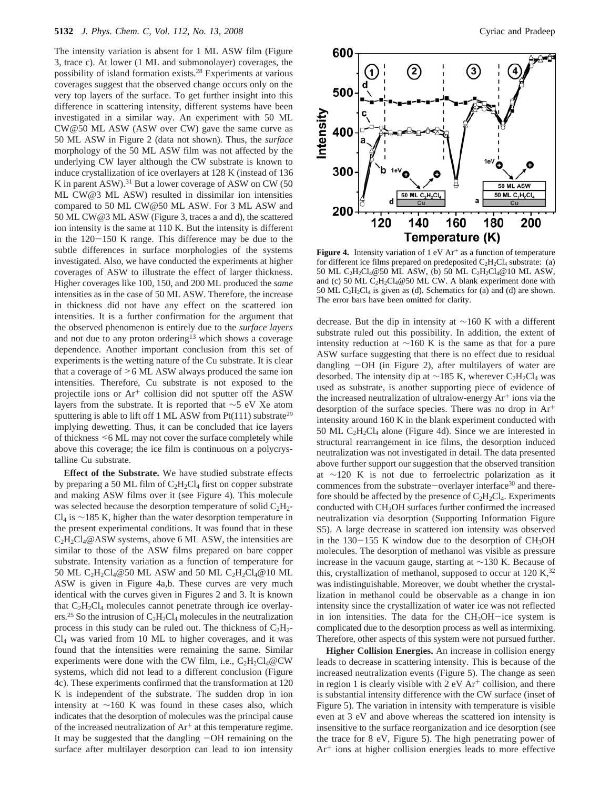The intensity variation is absent for 1 ML ASW film (Figure 3, trace c). At lower (1 ML and submonolayer) coverages, the possibility of island formation exists.28 Experiments at various coverages suggest that the observed change occurs only on the very top layers of the surface. To get further insight into this difference in scattering intensity, different systems have been investigated in a similar way. An experiment with 50 ML CW@50 ML ASW (ASW over CW) gave the same curve as 50 ML ASW in Figure 2 (data not shown). Thus, the *surface* morphology of the 50 ML ASW film was not affected by the underlying CW layer although the CW substrate is known to induce crystallization of ice overlayers at 128 K (instead of 136 K in parent ASW).<sup>31</sup> But a lower coverage of ASW on CW (50) ML CW@3 ML ASW) resulted in dissimilar ion intensities compared to 50 ML CW@50 ML ASW. For 3 ML ASW and 50 ML CW@3 ML ASW (Figure 3, traces a and d), the scattered ion intensity is the same at 110 K. But the intensity is different in the  $120-150$  K range. This difference may be due to the subtle differences in surface morphologies of the systems investigated. Also, we have conducted the experiments at higher coverages of ASW to illustrate the effect of larger thickness. Higher coverages like 100, 150, and 200 ML produced the *same* intensities as in the case of 50 ML ASW. Therefore, the increase in thickness did not have any effect on the scattered ion intensities. It is a further confirmation for the argument that the observed phenomenon is entirely due to the *surface layers* and not due to any proton ordering<sup>13</sup> which shows a coverage dependence. Another important conclusion from this set of experiments is the wetting nature of the Cu substrate. It is clear that a coverage of >6 ML ASW always produced the same ion intensities. Therefore, Cu substrate is not exposed to the projectile ions or Ar<sup>+</sup> collision did not sputter off the ASW layers from the substrate. It is reported that ∼5 eV Xe atom sputtering is able to lift off 1 ML ASW from  $Pt(111)$  substrate<sup>29</sup> implying dewetting. Thus, it can be concluded that ice layers of thickness <6 ML may not cover the surface completely while above this coverage; the ice film is continuous on a polycrystalline Cu substrate.

**Effect of the Substrate.** We have studied substrate effects by preparing a 50 ML film of  $C_2H_2Cl_4$  first on copper substrate and making ASW films over it (see Figure 4). This molecule was selected because the desorption temperature of solid  $C_2H_2$ - $Cl<sub>4</sub>$  is ∼185 K, higher than the water desorption temperature in the present experimental conditions. It was found that in these  $C_2H_2Cl_4@ASW$  systems, above 6 ML ASW, the intensities are similar to those of the ASW films prepared on bare copper substrate. Intensity variation as a function of temperature for 50 ML C<sub>2</sub>H<sub>2</sub>Cl<sub>4</sub>@50 ML ASW and 50 ML C<sub>2</sub>H<sub>2</sub>Cl<sub>4</sub>@10 ML ASW is given in Figure 4a,b. These curves are very much identical with the curves given in Figures 2 and 3. It is known that  $C_2H_2Cl_4$  molecules cannot penetrate through ice overlayers.<sup>25</sup> So the intrusion of  $C_2H_2Cl_4$  molecules in the neutralization process in this study can be ruled out. The thickness of  $C_2H_2$ -Cl4 was varied from 10 ML to higher coverages, and it was found that the intensities were remaining the same. Similar experiments were done with the CW film, i.e.,  $C_2H_2Cl_4@CW$ systems, which did not lead to a different conclusion (Figure 4c). These experiments confirmed that the transformation at 120 K is independent of the substrate. The sudden drop in ion intensity at ∼160 K was found in these cases also, which indicates that the desorption of molecules was the principal cause of the increased neutralization of  $Ar^+$  at this temperature regime. It may be suggested that the dangling  $-OH$  remaining on the surface after multilayer desorption can lead to ion intensity



**Figure 4.** Intensity variation of  $1 \text{ eV} \text{ Ar}^+$  as a function of temperature for different ice films prepared on predeposited  $C_2H_2Cl_4$  substrate: (a) 50 ML C2H2Cl4@50 ML ASW, (b) 50 ML C2H2Cl4@10 ML ASW, and (c) 50 ML  $C_2H_2Cl_4@50$  ML CW. A blank experiment done with 50 ML C<sub>2</sub>H<sub>2</sub>Cl<sub>4</sub> is given as (d). Schematics for (a) and (d) are shown. The error bars have been omitted for clarity.

decrease. But the dip in intensity at ∼160 K with a different substrate ruled out this possibility. In addition, the extent of intensity reduction at ∼160 K is the same as that for a pure ASW surface suggesting that there is no effect due to residual dangling -OH (in Figure 2), after multilayers of water are desorbed. The intensity dip at  $\sim$ 185 K, wherever C<sub>2</sub>H<sub>2</sub>Cl<sub>4</sub> was used as substrate, is another supporting piece of evidence of the increased neutralization of ultralow-energy  $Ar<sup>+</sup>$  ions via the desorption of the surface species. There was no drop in  $Ar^+$ intensity around 160 K in the blank experiment conducted with 50 ML  $C_2H_2Cl_4$  alone (Figure 4d). Since we are interested in structural rearrangement in ice films, the desorption induced neutralization was not investigated in detail. The data presented above further support our suggestion that the observed transition at ∼120 K is not due to ferroelectric polarization as it commences from the substrate-overlayer interface<sup>30</sup> and therefore should be affected by the presence of  $C_2H_2Cl_4$ . Experiments conducted with CH3OH surfaces further confirmed the increased neutralization via desorption (Supporting Information Figure S5). A large decrease in scattered ion intensity was observed in the  $130-155$  K window due to the desorption of  $CH<sub>3</sub>OH$ molecules. The desorption of methanol was visible as pressure increase in the vacuum gauge, starting at ∼130 K. Because of this, crystallization of methanol, supposed to occur at  $120 \text{ K}^{32}$ was indistinguishable. Moreover, we doubt whether the crystallization in methanol could be observable as a change in ion intensity since the crystallization of water ice was not reflected in ion intensities. The data for the  $CH<sub>3</sub>OH$ -ice system is complicated due to the desorption process as well as intermixing. Therefore, other aspects of this system were not pursued further.

**Higher Collision Energies.** An increase in collision energy leads to decrease in scattering intensity. This is because of the increased neutralization events (Figure 5). The change as seen in region 1 is clearly visible with  $2 \text{ eV}$  Ar<sup>+</sup> collision, and there is substantial intensity difference with the CW surface (inset of Figure 5). The variation in intensity with temperature is visible even at 3 eV and above whereas the scattered ion intensity is insensitive to the surface reorganization and ice desorption (see the trace for 8 eV, Figure 5). The high penetrating power of  $Ar<sup>+</sup>$  ions at higher collision energies leads to more effective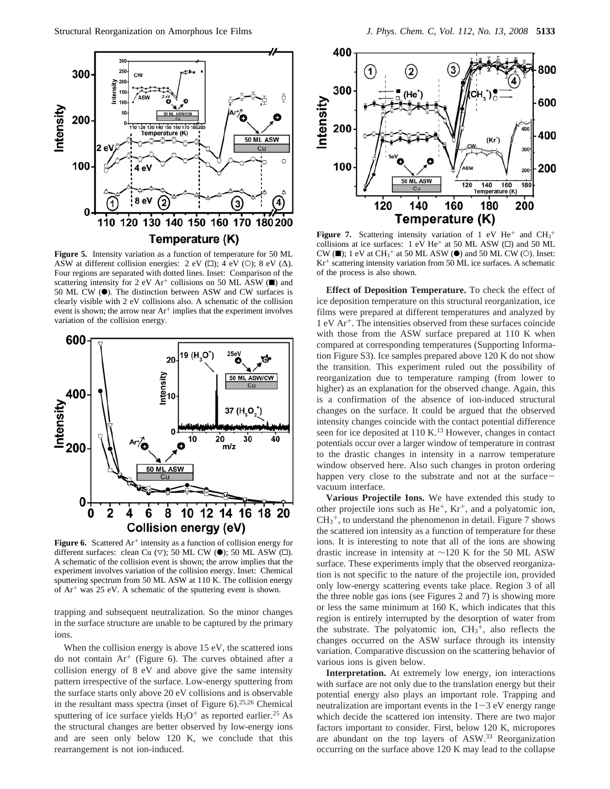

**Figure 5.** Intensity variation as a function of temperature for 50 ML ASW at different collision energies: 2 eV ( $\square$ ); 4 eV ( $\square$ ); 8 eV ( $\Delta$ ). Four regions are separated with dotted lines. Inset: Comparison of the scattering intensity for 2 eV Ar<sup>+</sup> collisions on 50 ML ASW  $(\blacksquare)$  and 50 ML CW ( $\bullet$ ). The distinction between ASW and CW surfaces is clearly visible with 2 eV collisions also. A schematic of the collision event is shown; the arrow near Ar<sup>+</sup> implies that the experiment involves variation of the collision energy.



Figure 6. Scattered Ar<sup>+</sup> intensity as a function of collision energy for different surfaces: clean Cu  $(\nabla)$ ; 50 ML CW  $(\bullet)$ ; 50 ML ASW  $(\square)$ . A schematic of the collision event is shown; the arrow implies that the experiment involves variation of the collision energy*.* Inset: Chemical sputtering spectrum from 50 ML ASW at 110 K. The collision energy of  $Ar<sup>+</sup>$  was 25 eV. A schematic of the sputtering event is shown.

trapping and subsequent neutralization. So the minor changes in the surface structure are unable to be captured by the primary ions.

When the collision energy is above 15 eV, the scattered ions do not contain  $Ar^+$  (Figure 6). The curves obtained after a collision energy of 8 eV and above give the same intensity pattern irrespective of the surface. Low-energy sputtering from the surface starts only above 20 eV collisions and is observable in the resultant mass spectra (inset of Figure 6).25,26 Chemical sputtering of ice surface yields  $H_3O^+$  as reported earlier.<sup>25</sup> As the structural changes are better observed by low-energy ions and are seen only below 120 K, we conclude that this rearrangement is not ion-induced.



**Figure 7.** Scattering intensity variation of 1 eV  $He^+$  and  $CH_3^+$ collisions at ice surfaces: 1 eV He<sup>+</sup> at 50 ML ASW  $(\square)$  and 50 ML CW ( $\blacksquare$ ); 1 eV at CH<sub>3</sub><sup>+</sup> at 50 ML ASW ( $\blacksquare$ ) and 50 ML CW ( $\bigcirc$ ). Inset: Kr<sup>+</sup> scattering intensity variation from 50 ML ice surfaces. A schematic of the process is also shown.

**Effect of Deposition Temperature.** To check the effect of ice deposition temperature on this structural reorganization, ice films were prepared at different temperatures and analyzed by 1 eV Ar+. The intensities observed from these surfaces coincide with those from the ASW surface prepared at 110 K when compared at corresponding temperatures (Supporting Information Figure S3). Ice samples prepared above 120 K do not show the transition. This experiment ruled out the possibility of reorganization due to temperature ramping (from lower to higher) as an explanation for the observed change. Again, this is a confirmation of the absence of ion-induced structural changes on the surface. It could be argued that the observed intensity changes coincide with the contact potential difference seen for ice deposited at 110 K.<sup>13</sup> However, changes in contact potentials occur over a larger window of temperature in contrast to the drastic changes in intensity in a narrow temperature window observed here. Also such changes in proton ordering happen very close to the substrate and not at the surfacevacuum interface.

**Various Projectile Ions.** We have extended this study to other projectile ions such as He<sup>+</sup>, Kr<sup>+</sup>, and a polyatomic ion,  $CH<sub>3</sub><sup>+</sup>$ , to understand the phenomenon in detail. Figure 7 shows the scattered ion intensity as a function of temperature for these ions. It is interesting to note that all of the ions are showing drastic increase in intensity at ∼120 K for the 50 ML ASW surface. These experiments imply that the observed reorganization is not specific to the nature of the projectile ion, provided only low-energy scattering events take place. Region 3 of all the three noble gas ions (see Figures 2 and 7) is showing more or less the same minimum at 160 K, which indicates that this region is entirely interrupted by the desorption of water from the substrate. The polyatomic ion,  $CH<sub>3</sub><sup>+</sup>$ , also reflects the changes occurred on the ASW surface through its intensity variation. Comparative discussion on the scattering behavior of various ions is given below.

**Interpretation.** At extremely low energy, ion interactions with surface are not only due to the translation energy but their potential energy also plays an important role. Trapping and neutralization are important events in the  $1-3$  eV energy range which decide the scattered ion intensity. There are two major factors important to consider. First, below 120 K, micropores are abundant on the top layers of ASW.33 Reorganization occurring on the surface above 120 K may lead to the collapse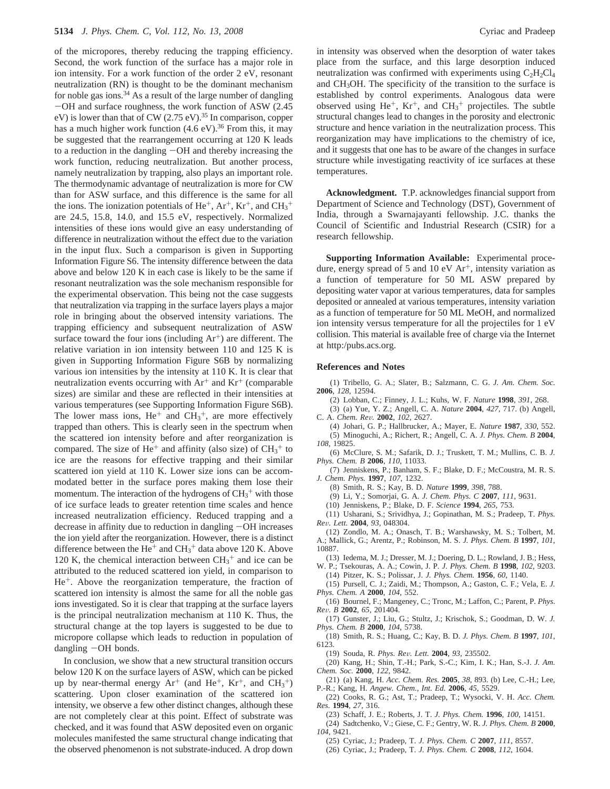of the micropores, thereby reducing the trapping efficiency. Second, the work function of the surface has a major role in ion intensity. For a work function of the order 2 eV, resonant neutralization (RN) is thought to be the dominant mechanism for noble gas ions.<sup>34</sup> As a result of the large number of dangling -OH and surface roughness, the work function of ASW (2.45  $eV$ ) is lower than that of CW (2.75  $eV$ ).<sup>35</sup> In comparison, copper has a much higher work function  $(4.6 \text{ eV})$ .<sup>36</sup> From this, it may be suggested that the rearrangement occurring at 120 K leads to a reduction in the dangling -OH and thereby increasing the work function, reducing neutralization. But another process, namely neutralization by trapping, also plays an important role. The thermodynamic advantage of neutralization is more for CW than for ASW surface, and this difference is the same for all the ions. The ionization potentials of  $He^+$ ,  $Ar^+$ ,  $Kr^+$ , and  $CH_3^+$ are 24.5, 15.8, 14.0, and 15.5 eV, respectively. Normalized intensities of these ions would give an easy understanding of difference in neutralization without the effect due to the variation in the input flux. Such a comparison is given in Supporting Information Figure S6. The intensity difference between the data above and below 120 K in each case is likely to be the same if resonant neutralization was the sole mechanism responsible for the experimental observation. This being not the case suggests that neutralization via trapping in the surface layers plays a major role in bringing about the observed intensity variations. The trapping efficiency and subsequent neutralization of ASW surface toward the four ions (including  $Ar^+$ ) are different. The relative variation in ion intensity between 110 and 125 K is given in Supporting Information Figure S6B by normalizing various ion intensities by the intensity at 110 K. It is clear that neutralization events occurring with  $Ar^+$  and  $Kr^+$  (comparable sizes) are similar and these are reflected in their intensities at various temperatures (see Supporting Information Figure S6B). The lower mass ions,  $He^+$  and  $CH_3^+$ , are more effectively trapped than others. This is clearly seen in the spectrum when the scattered ion intensity before and after reorganization is compared. The size of  $He<sup>+</sup>$  and affinity (also size) of  $CH<sub>3</sub><sup>+</sup>$  to ice are the reasons for effective trapping and their similar scattered ion yield at 110 K. Lower size ions can be accommodated better in the surface pores making them lose their momentum. The interaction of the hydrogens of  $CH<sub>3</sub><sup>+</sup>$  with those of ice surface leads to greater retention time scales and hence increased neutralization efficiency. Reduced trapping and a decrease in affinity due to reduction in dangling  $-OH$  increases the ion yield after the reorganization. However, there is a distinct difference between the  $He^+$  and  $CH_3^+$  data above 120 K. Above 120 K, the chemical interaction between  $\text{CH}_3$ <sup>+</sup> and ice can be attributed to the reduced scattered ion yield, in comparison to He+. Above the reorganization temperature, the fraction of scattered ion intensity is almost the same for all the noble gas ions investigated. So it is clear that trapping at the surface layers is the principal neutralization mechanism at 110 K. Thus, the structural change at the top layers is suggested to be due to micropore collapse which leads to reduction in population of dangling  $-OH$  bonds.

In conclusion, we show that a new structural transition occurs below 120 K on the surface layers of ASW, which can be picked up by near-thermal energy  $Ar^+$  (and  $He^+$ ,  $Kr^+$ , and  $CH_3^+$ ) scattering. Upon closer examination of the scattered ion intensity, we observe a few other distinct changes, although these are not completely clear at this point. Effect of substrate was checked, and it was found that ASW deposited even on organic molecules manifested the same structural change indicating that the observed phenomenon is not substrate-induced. A drop down

in intensity was observed when the desorption of water takes place from the surface, and this large desorption induced neutralization was confirmed with experiments using  $C_2H_2Cl_4$ and CH3OH. The specificity of the transition to the surface is established by control experiments. Analogous data were observed using  $He^+$ ,  $Kr^+$ , and  $CH_3^+$  projectiles. The subtle structural changes lead to changes in the porosity and electronic structure and hence variation in the neutralization process. This reorganization may have implications to the chemistry of ice, and it suggests that one has to be aware of the changes in surface structure while investigating reactivity of ice surfaces at these temperatures.

**Acknowledgment.** T.P. acknowledges financial support from Department of Science and Technology (DST), Government of India, through a Swarnajayanti fellowship. J.C. thanks the Council of Scientific and Industrial Research (CSIR) for a research fellowship.

**Supporting Information Available:** Experimental procedure, energy spread of 5 and 10 eV  $Ar^+$ , intensity variation as a function of temperature for 50 ML ASW prepared by depositing water vapor at various temperatures, data for samples deposited or annealed at various temperatures, intensity variation as a function of temperature for 50 ML MeOH, and normalized ion intensity versus temperature for all the projectiles for 1 eV collision. This material is available free of charge via the Internet at http:/pubs.acs.org.

#### **References and Notes**

(1) Tribello, G. A.; Slater, B.; Salzmann, C. G. *J. Am. Chem. Soc.* **2006**, *128*, 12594.

(2) Lobban, C.; Finney, J. L.; Kuhs, W. F. *Nature* **1998**, *391*, 268.

(3) (a) Yue, Y. Z.; Angell, C. A. *Nature* **2004**, *427*, 717. (b) Angell, C. A. *Chem. Re*V*.* **<sup>2002</sup>**, *<sup>102</sup>*, 2627.

(4) Johari, G. P.; Hallbrucker, A.; Mayer, E. *Nature* **1987**, *330*, 552. (5) Minoguchi, A.; Richert, R.; Angell, C. A. *J. Phys. Chem. B* **2004**, *108*, 19825.

(6) McClure, S. M.; Safarik, D. J.; Truskett, T. M.; Mullins, C. B. *J. Phys. Chem. B* **2006**, *110*, 11033.

(7) Jenniskens, P.; Banham, S. F.; Blake, D. F.; McCoustra, M. R. S. *J. Chem. Phys.* **1997**, *107*, 1232.

(8) Smith, R. S.; Kay, B. D. *Nature* **1999**, *398*, 788.

(9) Li, Y.; Somorjai, G. A. *J. Chem. Phys. C* **2007**, *111*, 9631.

(10) Jenniskens, P.; Blake, D. F. *Science* **1994**, *265*, 753.

(11) Usharani, S.; Srividhya, J.; Gopinathan, M. S.; Pradeep, T. *Phys. Re*V*. Lett.* **<sup>2004</sup>**, *<sup>93</sup>*, 048304.

(12) Zondlo, M. A.; Onasch, T. B.; Warshawsky, M. S.; Tolbert, M. A.; Mallick, G.; Arentz, P.; Robinson, M. S. *J. Phys. Chem. B* **1997**, *101*, 10887.

(13) Iedema, M. J.; Dresser, M. J.; Doering, D. L.; Rowland, J. B.; Hess, W. P.; Tsekouras, A. A.; Cowin, J. P. *J. Phys. Chem. B* **1998**, *102*, 9203.

(14) Pitzer, K. S.; Polissar, J. *J. Phys. Chem.* **1956**, *60*, 1140.

(15) Pursell, C. J.; Zaidi, M.; Thompson, A.; Gaston, C. F.; Vela, E. *J. Phys. Chem. A* **2000**, *104*, 552.

(16) Bournel, F.; Mangeney, C.; Tronc, M.; Laffon, C.; Parent, P. *Phys. Re*V*. B* **<sup>2002</sup>**, *<sup>65</sup>*, 201404.

(17) Gunster, J.; Liu, G.; Stultz, J.; Krischok, S.; Goodman, D. W. *J. Phys. Chem. B* **2000**, *104*, 5738.

(18) Smith, R. S.; Huang, C.; Kay, B. D. *J. Phys. Chem. B* **1997**, *101*, 6123.

(19) Souda, R. *Phys. Re*V*. Lett.* **<sup>2004</sup>**, *<sup>93</sup>*, 235502.

(20) Kang, H.; Shin, T.-H.; Park, S.-C.; Kim, I. K.; Han, S.-J. *J. Am. Chem. Soc.* **2000**, *122*, 9842.

(21) (a) Kang, H. *Acc. Chem. Res.* **2005**, *38*, 893. (b) Lee, C.-H.; Lee, P.-R.; Kang, H. *Angew. Chem., Int. Ed.* **2006**, *45*, 5529.

(22) Cooks, R. G.; Ast, T.; Pradeep, T.; Wysocki, V. H. *Acc. Chem. Res.* **1994**, *27*, 316.

(23) Schaff, J. E.; Roberts, J. T. *J. Phys. Chem.* **1996**, *100*, 14151.

(24) Sadtchenko, V.; Giese, C. F.; Gentry, W. R. *J. Phys. Chem. B* **2000**, *104*, 9421.

(25) Cyriac, J.; Pradeep, T. *J. Phys. Chem. C* **2007**, *111*, 8557.

(26) Cyriac, J.; Pradeep, T. *J. Phys. Chem. C* **2008**, *112*, 1604.